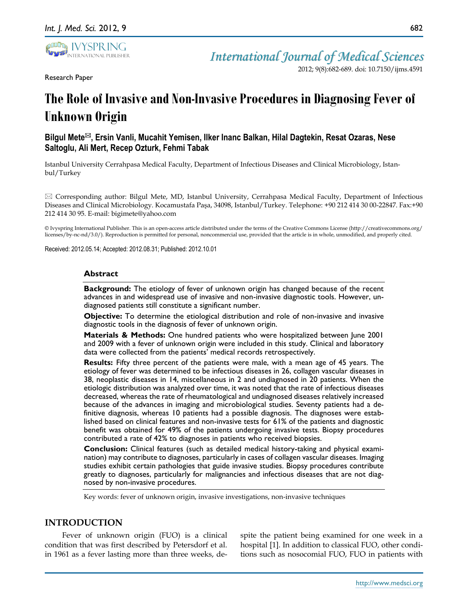

Research Paper

2012; 9(8):682-689. doi: 10.7150/ijms.4591

# **The Role of Invasive and Non-Invasive Procedures in Diagnosing Fever of Unknown Origin**

# **Bilgul Mete, Ersin Vanli, Mucahit Yemisen, Ilker Inanc Balkan, Hilal Dagtekin, Resat Ozaras, Nese Saltoglu, Ali Mert, Recep Ozturk, Fehmi Tabak**

Istanbul University Cerrahpasa Medical Faculty, Department of Infectious Diseases and Clinical Microbiology, Istanbul/Turkey

 $\boxtimes$  Corresponding author: Bilgul Mete, MD, Istanbul University, Cerrahpasa Medical Faculty, Department of Infectious Diseases and Clinical Microbiology. Kocamustafa Paşa, 34098, Istanbul/Turkey. Telephone: +90 212 414 30 00-22847. Fax:+90 212 414 30 95. E-mail: bigimete@yahoo.com

© Ivyspring International Publisher. This is an open-access article distributed under the terms of the Creative Commons License (http://creativecommons.org/ licenses/by-nc-nd/3.0/). Reproduction is permitted for personal, noncommercial use, provided that the article is in whole, unmodified, and properly cited.

Received: 2012.05.14; Accepted: 2012.08.31; Published: 2012.10.01

## **Abstract**

**Background:** The etiology of fever of unknown origin has changed because of the recent advances in and widespread use of invasive and non-invasive diagnostic tools. However, undiagnosed patients still constitute a significant number.

**Objective:** To determine the etiological distribution and role of non-invasive and invasive diagnostic tools in the diagnosis of fever of unknown origin.

**Materials & Methods:** One hundred patients who were hospitalized between June 2001 and 2009 with a fever of unknown origin were included in this study. Clinical and laboratory data were collected from the patients' medical records retrospectively.

**Results:** Fifty three percent of the patients were male, with a mean age of 45 years. The etiology of fever was determined to be infectious diseases in 26, collagen vascular diseases in 38, neoplastic diseases in 14, miscellaneous in 2 and undiagnosed in 20 patients. When the etiologic distribution was analyzed over time, it was noted that the rate of infectious diseases decreased, whereas the rate of rheumatological and undiagnosed diseases relatively increased because of the advances in imaging and microbiological studies. Seventy patients had a definitive diagnosis, whereas 10 patients had a possible diagnosis. The diagnoses were established based on clinical features and non-invasive tests for 61% of the patients and diagnostic benefit was obtained for 49% of the patients undergoing invasive tests. Biopsy procedures contributed a rate of 42% to diagnoses in patients who received biopsies.

**Conclusion:** Clinical features (such as detailed medical history-taking and physical examination) may contribute to diagnoses, particularly in cases of collagen vascular diseases. Imaging studies exhibit certain pathologies that guide invasive studies. Biopsy procedures contribute greatly to diagnoses, particularly for malignancies and infectious diseases that are not diagnosed by non-invasive procedures.

Key words: fever of unknown origin, invasive investigations, non-invasive techniques

# **INTRODUCTION**

Fever of unknown origin (FUO) is a clinical condition that was first described by Petersdorf et al. in 1961 as a fever lasting more than three weeks, despite the patient being examined for one week in a hospital [1]. In addition to classical FUO, other conditions such as nosocomial FUO, FUO in patients with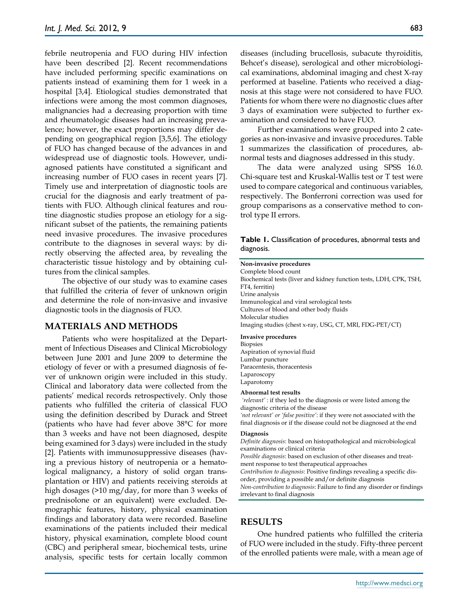febrile neutropenia and FUO during HIV infection have been described [2]. Recent recommendations have included performing specific examinations on patients instead of examining them for 1 week in a hospital [3,4]. Etiological studies demonstrated that infections were among the most common diagnoses, malignancies had a decreasing proportion with time and rheumatologic diseases had an increasing prevalence; however, the exact proportions may differ depending on geographical region [3,5,6]. The etiology of FUO has changed because of the advances in and widespread use of diagnostic tools. However, undiagnosed patients have constituted a significant and increasing number of FUO cases in recent years [7]. Timely use and interpretation of diagnostic tools are crucial for the diagnosis and early treatment of patients with FUO. Although clinical features and routine diagnostic studies propose an etiology for a significant subset of the patients, the remaining patients need invasive procedures. The invasive procedures contribute to the diagnoses in several ways: by directly observing the affected area, by revealing the characteristic tissue histology and by obtaining cultures from the clinical samples.

The objective of our study was to examine cases that fulfilled the criteria of fever of unknown origin and determine the role of non-invasive and invasive diagnostic tools in the diagnosis of FUO.

## **MATERIALS AND METHODS**

Patients who were hospitalized at the Department of Infectious Diseases and Clinical Microbiology between June 2001 and June 2009 to determine the etiology of fever or with a presumed diagnosis of fever of unknown origin were included in this study. Clinical and laboratory data were collected from the patients' medical records retrospectively. Only those patients who fulfilled the criteria of classical FUO using the definition described by Durack and Street (patients who have had fever above 38°C for more than 3 weeks and have not been diagnosed, despite being examined for 3 days) were included in the study [2]. Patients with immunosuppressive diseases (having a previous history of neutropenia or a hematological malignancy, a history of solid organ transplantation or HIV) and patients receiving steroids at high dosages (>10 mg/day, for more than 3 weeks of prednisolone or an equivalent) were excluded. Demographic features, history, physical examination findings and laboratory data were recorded. Baseline examinations of the patients included their medical history, physical examination, complete blood count (CBC) and peripheral smear, biochemical tests, urine analysis, specific tests for certain locally common

diseases (including brucellosis, subacute thyroiditis, Behcet's disease), serological and other microbiological examinations, abdominal imaging and chest X-ray performed at baseline. Patients who received a diagnosis at this stage were not considered to have FUO. Patients for whom there were no diagnostic clues after 3 days of examination were subjected to further examination and considered to have FUO.

Further examinations were grouped into 2 categories as non-invasive and invasive procedures. Table 1 summarizes the classification of procedures, abnormal tests and diagnoses addressed in this study.

The data were analyzed using SPSS 16.0. Chi-square test and Kruskal-Wallis test or T test were used to compare categorical and continuous variables, respectively. The Bonferroni correction was used for group comparisons as a conservative method to control type II errors.

**Table 1.** Classification of procedures, abnormal tests and diagnosis.

#### **Non-invasive procedures**

Complete blood count Biochemical tests (liver and kidney function tests, LDH, CPK, TSH, FT4, ferritin) Urine analysis Immunological and viral serological tests Cultures of blood and other body fluids Molecular studies Imaging studies (chest x-ray, USG, CT, MRI, FDG-PET/CT)

#### **Invasive procedures**

Biopsies Aspiration of synovial fluid Lumbar puncture Paracentesis, thoracentesis Laparoscopy Laparotomy

#### **Abnormal test results**

*'relevant'* : if they led to the diagnosis or were listed among the diagnostic criteria of the disease

*'not relevant' or 'false positive'*: if they were not associated with the final diagnosis or if the disease could not be diagnosed at the end

#### **Diagnosis**

*Definite diagnosis*: based on histopathological and microbiological examinations or clinical criteria

*Possible diagnosis*: based on exclusion of other diseases and treatment response to test therapeutical approaches

*Contribution to diagnosis*: Positive findings revealing a specific disorder, providing a possible and/or definite diagnosis

*Non-contribution to diagnosis*: Failure to find any disorder or findings irrelevant to final diagnosis

## **RESULTS**

One hundred patients who fulfilled the criteria of FUO were included in the study. Fifty-three percent of the enrolled patients were male, with a mean age of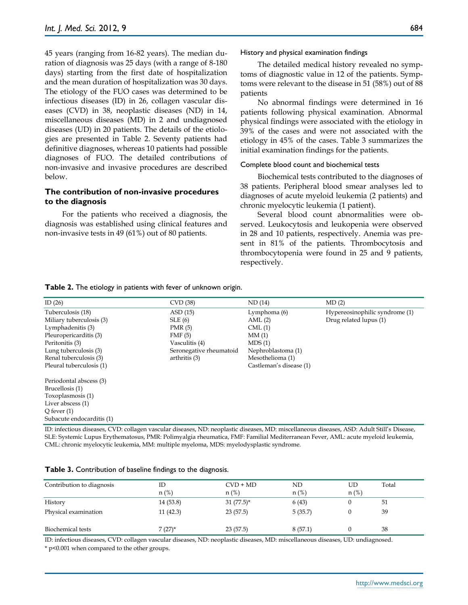45 years (ranging from 16-82 years). The median duration of diagnosis was 25 days (with a range of 8-180 days) starting from the first date of hospitalization and the mean duration of hospitalization was 30 days. The etiology of the FUO cases was determined to be infectious diseases (ID) in 26, collagen vascular diseases (CVD) in 38, neoplastic diseases (ND) in 14, miscellaneous diseases (MD) in 2 and undiagnosed diseases (UD) in 20 patients. The details of the etiologies are presented in Table 2. Seventy patients had definitive diagnoses, whereas 10 patients had possible diagnoses of FUO. The detailed contributions of non-invasive and invasive procedures are described below.

# **The contribution of non-invasive procedures to the diagnosis**

For the patients who received a diagnosis, the diagnosis was established using clinical features and non-invasive tests in 49 (61%) out of 80 patients.

History and physical examination findings

The detailed medical history revealed no symptoms of diagnostic value in 12 of the patients. Symptoms were relevant to the disease in 51 (58%) out of 88 patients

No abnormal findings were determined in 16 patients following physical examination. Abnormal physical findings were associated with the etiology in 39% of the cases and were not associated with the etiology in 45% of the cases. Table 3 summarizes the initial examination findings for the patients.

#### Complete blood count and biochemical tests

Biochemical tests contributed to the diagnoses of 38 patients. Peripheral blood smear analyses led to diagnoses of acute myeloid leukemia (2 patients) and chronic myelocytic leukemia (1 patient).

Several blood count abnormalities were observed. Leukocytosis and leukopenia were observed in 28 and 10 patients, respectively. Anemia was present in 81% of the patients. Thrombocytosis and thrombocytopenia were found in 25 and 9 patients, respectively.

**Table 2.** The etiology in patients with fever of unknown origin.

| ID $(26)$                 | CVD (38)                | ND(14)                  | MD(2)                          |
|---------------------------|-------------------------|-------------------------|--------------------------------|
| Tuberculosis (18)         | ASD(15)                 | Lymphoma (6)            | Hypereosinophilic syndrome (1) |
| Miliary tuberculosis (3)  | SLE(6)                  | AML(2)                  | Drug related lupus (1)         |
| Lymphadenitis (3)         | PMR(5)                  | CML(1)                  |                                |
| Pleuropericarditis (3)    | FMF(5)                  | MM(1)                   |                                |
| Peritonitis (3)           | Vasculitis (4)          | MDS(1)                  |                                |
| Lung tuberculosis (3)     | Seronegative rheumatoid | Nephroblastoma (1)      |                                |
| Renal tuberculosis (3)    | arthritis (3)           | Mesothelioma (1)        |                                |
| Pleural tuberculosis (1)  |                         | Castleman's disease (1) |                                |
| Periodontal abscess (3)   |                         |                         |                                |
| Brucellosis (1)           |                         |                         |                                |
| Toxoplasmosis (1)         |                         |                         |                                |
| Liver abscess (1)         |                         |                         |                                |
| O fever $(1)$             |                         |                         |                                |
| Subacute endocarditis (1) |                         |                         |                                |

ID: infectious diseases, CVD: collagen vascular diseases, ND: neoplastic diseases, MD: miscellaneous diseases, ASD: Adult Still's Disease, SLE: Systemic Lupus Erythematosus, PMR: Polimyalgia rheumatica, FMF: Familial Mediterranean Fever, AML: acute myeloid leukemia, CML: chronic myelocytic leukemia, MM: multiple myeloma, MDS: myelodysplastic syndrome.

| Table 3. Contribution of baseline findings to the diagnosis. |  |  |  |
|--------------------------------------------------------------|--|--|--|
|--------------------------------------------------------------|--|--|--|

| Contribution to diagnosis       | ID<br>$n$ (%)        | $CVD + MD$<br>$n$ (%)    | ND<br>$n$ (%)    | UD<br>$n$ (%) | Total    |
|---------------------------------|----------------------|--------------------------|------------------|---------------|----------|
| History<br>Physical examination | 14(53.8)<br>11(42.3) | $31(77.5)^*$<br>23(57.5) | 6(43)<br>5(35.7) |               | 51<br>39 |
| Biochemical tests               | $7(27)^*$            | 23(57.5)                 | 8(57.1)          |               | 38       |

ID: infectious diseases, CVD: collagen vascular diseases, ND: neoplastic diseases, MD: miscellaneous diseases, UD: undiagnosed.

\* p<0.001 when compared to the other groups.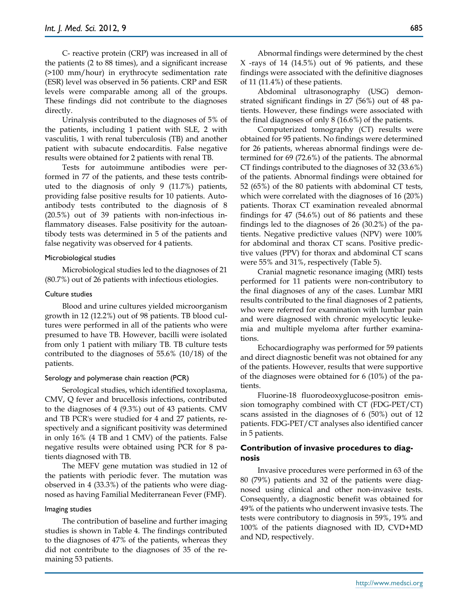C- reactive protein (CRP) was increased in all of the patients (2 to 88 times), and a significant increase (>100 mm/hour) in erythrocyte sedimentation rate (ESR) level was observed in 56 patients. CRP and ESR levels were comparable among all of the groups. These findings did not contribute to the diagnoses directly.

Urinalysis contributed to the diagnoses of 5% of the patients, including 1 patient with SLE, 2 with vasculitis, 1 with renal tuberculosis (TB) and another patient with subacute endocarditis. False negative results were obtained for 2 patients with renal TB.

Tests for autoimmune antibodies were performed in 77 of the patients, and these tests contributed to the diagnosis of only 9 (11.7%) patients, providing false positive results for 10 patients. Autoantibody tests contributed to the diagnosis of 8 (20.5%) out of 39 patients with non-infectious inflammatory diseases. False positivity for the autoantibody tests was determined in 5 of the patients and false negativity was observed for 4 patients.

## Microbiological studies

Microbiological studies led to the diagnoses of 21 (80.7%) out of 26 patients with infectious etiologies.

## Culture studies

Blood and urine cultures yielded microorganism growth in 12 (12.2%) out of 98 patients. TB blood cultures were performed in all of the patients who were presumed to have TB. However, bacilli were isolated from only 1 patient with miliary TB. TB culture tests contributed to the diagnoses of 55.6% (10/18) of the patients.

## Serology and polymerase chain reaction (PCR)

Serological studies, which identified toxoplasma, CMV, Q fever and brucellosis infections, contributed to the diagnoses of 4 (9.3%) out of 43 patients. CMV and TB PCR's were studied for 4 and 27 patients, respectively and a significant positivity was determined in only 16% (4 TB and 1 CMV) of the patients. False negative results were obtained using PCR for 8 patients diagnosed with TB.

The MEFV gene mutation was studied in 12 of the patients with periodic fever. The mutation was observed in 4 (33.3%) of the patients who were diagnosed as having Familial Mediterranean Fever (FMF).

## Imaging studies

The contribution of baseline and further imaging studies is shown in Table 4. The findings contributed to the diagnoses of 47% of the patients, whereas they did not contribute to the diagnoses of 35 of the remaining 53 patients.

Abnormal findings were determined by the chest X -rays of 14 (14.5%) out of 96 patients, and these findings were associated with the definitive diagnoses of 11 (11.4%) of these patients.

Abdominal ultrasonography (USG) demonstrated significant findings in 27 (56%) out of 48 patients. However, these findings were associated with the final diagnoses of only 8 (16.6%) of the patients.

Computerized tomography (CT) results were obtained for 95 patients. No findings were determined for 26 patients, whereas abnormal findings were determined for 69 (72.6%) of the patients. The abnormal CT findings contributed to the diagnoses of 32 (33.6%) of the patients. Abnormal findings were obtained for 52 (65%) of the 80 patients with abdominal CT tests, which were correlated with the diagnoses of 16 (20%) patients. Thorax CT examination revealed abnormal findings for 47 (54.6%) out of 86 patients and these findings led to the diagnoses of 26 (30.2%) of the patients. Negative predictive values (NPV) were 100% for abdominal and thorax CT scans. Positive predictive values (PPV) for thorax and abdominal CT scans were 55% and 31%, respectively (Table 5).

Cranial magnetic resonance imaging (MRI) tests performed for 11 patients were non-contributory to the final diagnoses of any of the cases. Lumbar MRI results contributed to the final diagnoses of 2 patients, who were referred for examination with lumbar pain and were diagnosed with chronic myelocytic leukemia and multiple myeloma after further examinations.

Echocardiography was performed for 59 patients and direct diagnostic benefit was not obtained for any of the patients. However, results that were supportive of the diagnoses were obtained for 6 (10%) of the patients.

Fluorine-18 fluorodeoxyglucose-positron emission tomography combined with CT (FDG-PET/CT) scans assisted in the diagnoses of 6 (50%) out of 12 patients. FDG-PET/CT analyses also identified cancer in 5 patients.

# **Contribution of invasive procedures to diagnosis**

Invasive procedures were performed in 63 of the 80 (79%) patients and 32 of the patients were diagnosed using clinical and other non-invasive tests. Consequently, a diagnostic benefit was obtained for 49% of the patients who underwent invasive tests. The tests were contributory to diagnosis in 59%, 19% and 100% of the patients diagnosed with ID, CVD+MD and ND, respectively.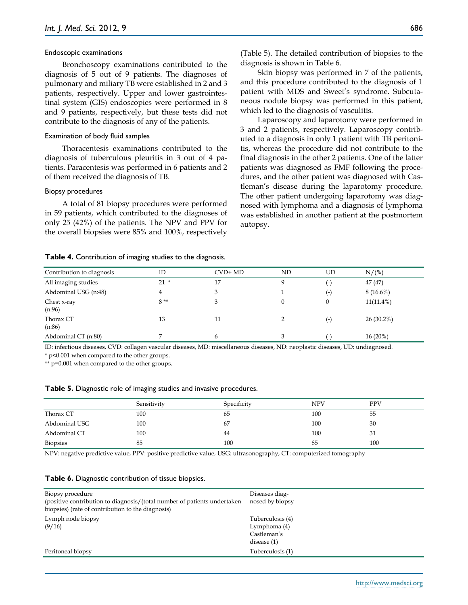## Endoscopic examinations

Bronchoscopy examinations contributed to the diagnosis of 5 out of 9 patients. The diagnoses of pulmonary and miliary TB were established in 2 and 3 patients, respectively. Upper and lower gastrointestinal system (GIS) endoscopies were performed in 8 and 9 patients, respectively, but these tests did not contribute to the diagnosis of any of the patients.

#### Examination of body fluid samples

Thoracentesis examinations contributed to the diagnosis of tuberculous pleuritis in 3 out of 4 patients. Paracentesis was performed in 6 patients and 2 of them received the diagnosis of TB.

#### Biopsy procedures

A total of 81 biopsy procedures were performed in 59 patients, which contributed to the diagnoses of only 25 (42%) of the patients. The NPV and PPV for the overall biopsies were 85% and 100%, respectively

#### **Table 4.** Contribution of imaging studies to the diagnosis.

(Table 5). The detailed contribution of biopsies to the diagnosis is shown in Table 6.

Skin biopsy was performed in 7 of the patients, and this procedure contributed to the diagnosis of 1 patient with MDS and Sweet's syndrome. Subcutaneous nodule biopsy was performed in this patient, which led to the diagnosis of vasculitis.

Laparoscopy and laparotomy were performed in 3 and 2 patients, respectively. Laparoscopy contributed to a diagnosis in only 1 patient with TB peritonitis, whereas the procedure did not contribute to the final diagnosis in the other 2 patients. One of the latter patients was diagnosed as FMF following the procedures, and the other patient was diagnosed with Castleman's disease during the laparotomy procedure. The other patient undergoing laparotomy was diagnosed with lymphoma and a diagnosis of lymphoma was established in another patient at the postmortem autopsy.

| Contribution to diagnosis | ID     | $CVD+MD$ | ND | UD                | N/(%)        |
|---------------------------|--------|----------|----|-------------------|--------------|
| All imaging studies       | $21 *$ | 17       |    | l-)               | 47(47)       |
| Abdominal USG (n:48)      | 4      | 3        |    | (-)               | $8(16.6\%)$  |
| Chest x-ray<br>(n:96)     | $8**$  | 3        |    | $\mathbf{0}$      | $11(11.4\%)$ |
| Thorax CT<br>(n:86)       | 13     | 11       |    | (-)               | $26(30.2\%)$ |
| Abdominal CT (n:80)       |        | 6        |    | $\left( -\right)$ | $16(20\%)$   |

ID: infectious diseases, CVD: collagen vascular diseases, MD: miscellaneous diseases, ND: neoplastic diseases, UD: undiagnosed. \* p<0.001 when compared to the other groups.

\*\* p=0.001 when compared to the other groups.

|  |  |  | Table 5. Diagnostic role of imaging studies and invasive procedures. |
|--|--|--|----------------------------------------------------------------------|
|  |  |  |                                                                      |

|                 | Sensitivity | Specificity | <b>NPV</b> | <b>PPV</b> |
|-----------------|-------------|-------------|------------|------------|
| Thorax CT       | 100         | 65          | 100        | 55         |
| Abdominal USG   | 100         | 67          | 100        | 30         |
| Abdominal CT    | 100         | 44          | 100        | 31         |
| <b>Biopsies</b> | 85          | 100         | 85         | 100        |

NPV: negative predictive value, PPV: positive predictive value, USG: ultrasonography, CT: computerized tomography

#### **Table 6.** Diagnostic contribution of tissue biopsies.

| Biopsy procedure<br>(positive contribution to diagnosis/(total number of patients undertaken<br>biopsies) (rate of contribution to the diagnosis) | Diseases diag-<br>nosed by biopsy                                |
|---------------------------------------------------------------------------------------------------------------------------------------------------|------------------------------------------------------------------|
| Lymph node biopsy<br>(9/16)                                                                                                                       | Tuberculosis (4)<br>Lymphoma (4)<br>Castleman's<br>disease $(1)$ |
| Peritoneal biopsy                                                                                                                                 | Tuberculosis (1)                                                 |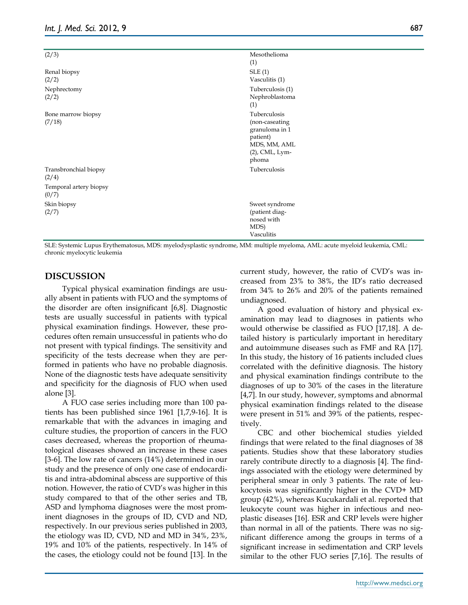| (2/3)                           | Mesothelioma<br>(1)                                                                                        |  |
|---------------------------------|------------------------------------------------------------------------------------------------------------|--|
| Renal biopsy<br>(2/2)           | SLE(1)<br>Vasculitis (1)                                                                                   |  |
| Nephrectomy<br>(2/2)            | Tuberculosis (1)<br>Nephroblastoma<br>(1)                                                                  |  |
| Bone marrow biopsy<br>(7/18)    | Tuberculosis<br>(non-caseating<br>granuloma in 1<br>patient)<br>MDS, MM, AML<br>$(2)$ , CML, Lym-<br>phoma |  |
| Transbronchial biopsy<br>(2/4)  | Tuberculosis                                                                                               |  |
| Temporal artery biopsy<br>(0/7) |                                                                                                            |  |
| Skin biopsy<br>(2/7)            | Sweet syndrome<br>(patient diag-<br>nosed with<br>MDS)<br>Vasculitis                                       |  |

SLE: Systemic Lupus Erythematosus, MDS: myelodysplastic syndrome, MM: multiple myeloma, AML: acute myeloid leukemia, CML: chronic myelocytic leukemia

# **DISCUSSION**

Typical physical examination findings are usually absent in patients with FUO and the symptoms of the disorder are often insignificant [6,8]. Diagnostic tests are usually successful in patients with typical physical examination findings. However, these procedures often remain unsuccessful in patients who do not present with typical findings. The sensitivity and specificity of the tests decrease when they are performed in patients who have no probable diagnosis. None of the diagnostic tests have adequate sensitivity and specificity for the diagnosis of FUO when used alone [3].

A FUO case series including more than 100 patients has been published since 1961 [1,7,9-16]. It is remarkable that with the advances in imaging and culture studies, the proportion of cancers in the FUO cases decreased, whereas the proportion of rheumatological diseases showed an increase in these cases [3-6]. The low rate of cancers (14%) determined in our study and the presence of only one case of endocarditis and intra-abdominal abscess are supportive of this notion. However, the ratio of CVD's was higher in this study compared to that of the other series and TB, ASD and lymphoma diagnoses were the most prominent diagnoses in the groups of ID, CVD and ND, respectively. In our previous series published in 2003, the etiology was ID, CVD, ND and MD in 34%, 23%, 19% and 10% of the patients, respectively. In 14% of the cases, the etiology could not be found [13]. In the

current study, however, the ratio of CVD's was increased from 23% to 38%, the ID's ratio decreased from 34% to 26% and 20% of the patients remained undiagnosed.

A good evaluation of history and physical examination may lead to diagnoses in patients who would otherwise be classified as FUO [17,18]. A detailed history is particularly important in hereditary and autoimmune diseases such as FMF and RA [17]. In this study, the history of 16 patients included clues correlated with the definitive diagnosis. The history and physical examination findings contribute to the diagnoses of up to 30% of the cases in the literature [4,7]. In our study, however, symptoms and abnormal physical examination findings related to the disease were present in 51% and 39% of the patients, respectively.

CBC and other biochemical studies yielded findings that were related to the final diagnoses of 38 patients. Studies show that these laboratory studies rarely contribute directly to a diagnosis [4]. The findings associated with the etiology were determined by peripheral smear in only 3 patients. The rate of leukocytosis was significantly higher in the CVD+ MD group (42%), whereas Kucukardali et al. reported that leukocyte count was higher in infectious and neoplastic diseases [16]. ESR and CRP levels were higher than normal in all of the patients. There was no significant difference among the groups in terms of a significant increase in sedimentation and CRP levels similar to the other FUO series [7,16]. The results of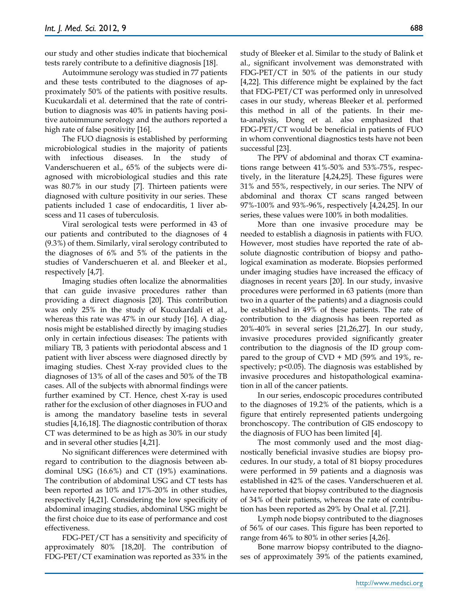our study and other studies indicate that biochemical tests rarely contribute to a definitive diagnosis [18].

Autoimmune serology was studied in 77 patients and these tests contributed to the diagnoses of approximately 50% of the patients with positive results. Kucukardali et al. determined that the rate of contribution to diagnosis was 40% in patients having positive autoimmune serology and the authors reported a high rate of false positivity [16].

The FUO diagnosis is established by performing microbiological studies in the majority of patients with infectious diseases. In the study of Vanderschueren et al., 65% of the subjects were diagnosed with microbiological studies and this rate was 80.7% in our study [7]. Thirteen patients were diagnosed with culture positivity in our series. These patients included 1 case of endocarditis, 1 liver abscess and 11 cases of tuberculosis.

Viral serological tests were performed in 43 of our patients and contributed to the diagnoses of 4 (9.3%) of them. Similarly, viral serology contributed to the diagnoses of 6% and 5% of the patients in the studies of Vanderschueren et al. and Bleeker et al., respectively [4,7].

Imaging studies often localize the abnormalities that can guide invasive procedures rather than providing a direct diagnosis [20]. This contribution was only 25% in the study of Kucukardali et al., whereas this rate was 47% in our study [16]. A diagnosis might be established directly by imaging studies only in certain infectious diseases: The patients with miliary TB, 3 patients with periodontal abscess and 1 patient with liver abscess were diagnosed directly by imaging studies. Chest X-ray provided clues to the diagnoses of 13% of all of the cases and 50% of the TB cases. All of the subjects with abnormal findings were further examined by CT. Hence, chest X-ray is used rather for the exclusion of other diagnoses in FUO and is among the mandatory baseline tests in several studies [4,16,18]. The diagnostic contribution of thorax CT was determined to be as high as 30% in our study and in several other studies [4,21].

No significant differences were determined with regard to contribution to the diagnosis between abdominal USG (16.6%) and CT (19%) examinations. The contribution of abdominal USG and CT tests has been reported as 10% and 17%-20% in other studies, respectively [4,21]. Considering the low specificity of abdominal imaging studies, abdominal USG might be the first choice due to its ease of performance and cost effectiveness.

FDG-PET/CT has a sensitivity and specificity of approximately 80% [18,20]. The contribution of FDG-PET/CT examination was reported as 33% in the study of Bleeker et al. Similar to the study of Balink et al., significant involvement was demonstrated with FDG-PET/CT in 50% of the patients in our study [4,22]. This difference might be explained by the fact that FDG-PET/CT was performed only in unresolved cases in our study, whereas Bleeker et al. performed this method in all of the patients. In their meta-analysis, Dong et al. also emphasized that FDG-PET/CT would be beneficial in patients of FUO in whom conventional diagnostics tests have not been successful [23].

The PPV of abdominal and thorax CT examinations range between 41%-50% and 53%-75%, respectively, in the literature [4,24,25]. These figures were 31% and 55%, respectively, in our series. The NPV of abdominal and thorax CT scans ranged between 97%-100% and 93%-96%, respectively [4,24,25]. In our series, these values were 100% in both modalities.

More than one invasive procedure may be needed to establish a diagnosis in patients with FUO. However, most studies have reported the rate of absolute diagnostic contribution of biopsy and pathological examination as moderate. Biopsies performed under imaging studies have increased the efficacy of diagnoses in recent years [20]. In our study, invasive procedures were performed in 63 patients (more than two in a quarter of the patients) and a diagnosis could be established in 49% of these patients. The rate of contribution to the diagnosis has been reported as 20%-40% in several series [21,26,27]. In our study, invasive procedures provided significantly greater contribution to the diagnosis of the ID group compared to the group of  $CVD + MD$  (59% and 19%, respectively;  $p<0.05$ ). The diagnosis was established by invasive procedures and histopathological examination in all of the cancer patients.

In our series, endoscopic procedures contributed to the diagnoses of 19.2% of the patients, which is a figure that entirely represented patients undergoing bronchoscopy. The contribution of GIS endoscopy to the diagnosis of FUO has been limited [4].

The most commonly used and the most diagnostically beneficial invasive studies are biopsy procedures. In our study, a total of 81 biopsy procedures were performed in 59 patients and a diagnosis was established in 42% of the cases. Vanderschueren et al. have reported that biopsy contributed to the diagnosis of 34% of their patients, whereas the rate of contribution has been reported as 29% by Onal et al. [7,21].

Lymph node biopsy contributed to the diagnoses of 56% of our cases. This figure has been reported to range from 46% to 80% in other series [4,26].

Bone marrow biopsy contributed to the diagnoses of approximately 39% of the patients examined,